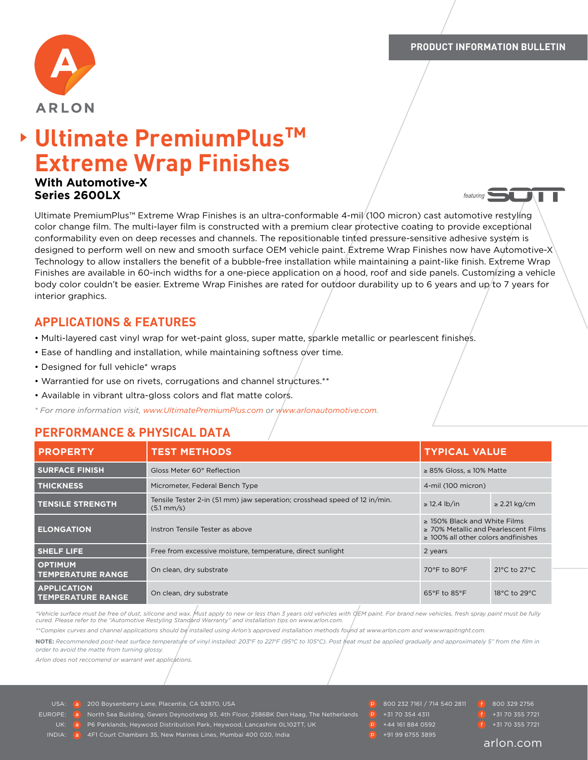

featuring



# **Ultimate PremiumPlus™ Extreme Wrap Finishes**

#### **With Automotive-X Series 2600LX**

Ultimate PremiumPlus™ Extreme Wrap Finishes is an ultra-conformable 4-mil (100 micron) cast automotive restyling color change film. The multi-layer film is constructed with a premium clear protective coating to provide exceptional conformability even on deep recesses and channels. The repositionable tinted pressure-sensitive adhesive system is designed to perform well on new and smooth surface OEM vehicle paint. Extreme Wrap Finishes now have Automotive-X Technology to allow installers the benefit of a bubble-free installation while maintaining a paint-like finish. Extreme Wrap Finishes are available in 60-inch widths for a one-piece application on a hood, roof and side panels. Customizing a vehicle body color couldn't be easier. Extreme Wrap Finishes are rated for outdoor durability up to 6 years and up to 7 years for interior graphics.

# **APPLICATIONS & FEATURES**

- Multi-layered cast vinyl wrap for wet-paint gloss, super matte, sparkle metallic or pearlescent finishes.
- Ease of handling and installation, while maintaining softness over time.
- Designed for full vehicle\* wraps
- Warrantied for use on rivets, corrugations and channel structures.\*\*
- Available in vibrant ultra-gloss colors and flat matte colors.

*\* For more information visit, [www.UltimatePremiumPlus.com](http://www.UltimatePremiumPlus.com) or [www.arlonautomotive.com](http://www.arlonautomotive.com).*

# **PERFORMANCE & PHYSICAL DATA**

| <b>PROPERTY</b>                                | <b>TEST METHODS</b>                                                                                 | <b>TYPICAL VALUE</b>                                                                                                         |                                  |
|------------------------------------------------|-----------------------------------------------------------------------------------------------------|------------------------------------------------------------------------------------------------------------------------------|----------------------------------|
| <b>SURFACE FINISH</b>                          | Gloss Meter 60° Reflection                                                                          | $\geq$ 85% Gloss, $\leq$ 10% Matte                                                                                           |                                  |
| <b>THICKNESS</b>                               | Micrometer, Federal Bench Type                                                                      | 4-mil (100 micron)                                                                                                           |                                  |
| <b>TENSILE STRENGTH</b>                        | Tensile Tester 2-in (51 mm) jaw seperation; crosshead speed of 12 in/min.<br>$(5.1 \, \text{mm/s})$ | $\geq$ 12.4 lb/in                                                                                                            | $\geq$ 2.21 kg/cm                |
| <b>ELONGATION</b>                              | Instron Tensile Tester as above                                                                     | $\geq$ 150% Black and White Films<br>$\geq$ 70% Metallic and Pearlescent Films<br>$\geq 100\%$ all other colors and finishes |                                  |
| <b>SHELF LIFE</b>                              | Free from excessive moisture, temperature, direct sunlight                                          | 2 years                                                                                                                      |                                  |
| <b>OPTIMUM</b><br><b>TEMPERATURE RANGE</b>     | On clean, dry substrate                                                                             | 70°F to 80°F                                                                                                                 | $21^{\circ}$ C to $27^{\circ}$ C |
| <b>APPLICATION</b><br><b>TEMPERATURE RANGE</b> | On clean, dry substrate                                                                             | $65^{\circ}$ F to $85^{\circ}$ F                                                                                             | 18 $\degree$ C to 29 $\degree$ C |

*\*Vehicle surface must be free of dust, silicone and wax. Must apply to new or less than 3 years old vehicles with OEM paint. For brand new vehicles, fresh spray paint must be fully cured. Please refer to the "Automotive Restyling Standard Warranty" and installation tips on www.arlon.com.* 

*\*\*Complex curves and channel applications should be installed using Arlon's approved installation methods found at www.arlon.com and www.wrapitright.com.*

**NOTE:** *Recommended post-heat surface temperature of vinyl installed: 203°F to 221°F (95°C to 105°C). Post heat must be applied gradually and approximately 5" from the film in order to avoid the matte from turning glossy.* 

*Arlon does not reccomend or warrant wet applications.*

USA: **a** 200 Boysenberry Lane, Placentia, CA 92870, USA **800 232 7161 / 714 540 2811** 800 329 2756

EUROPE: **a** North Sea Building, Gevers Deynootweg 93, 4th Floor, 2586BK Den Haag, The Netherlands **P** +31 70 354 4311 **+31 70 355 7721**<br>
and the contract of the contract of the contract of the contract of the contract of t

P6 Parklands, Heywood Distribution Park, Heywood, Lancashire 0L102TT, UK **P** +44 161 884 0592 **19 +31 70 355 7721** 

INDIA: **a** 4F1 Court Chambers 35, New Marines Lines, Mumbai 400 020, India **+91 99 6755 3895** 

#### arlon.com